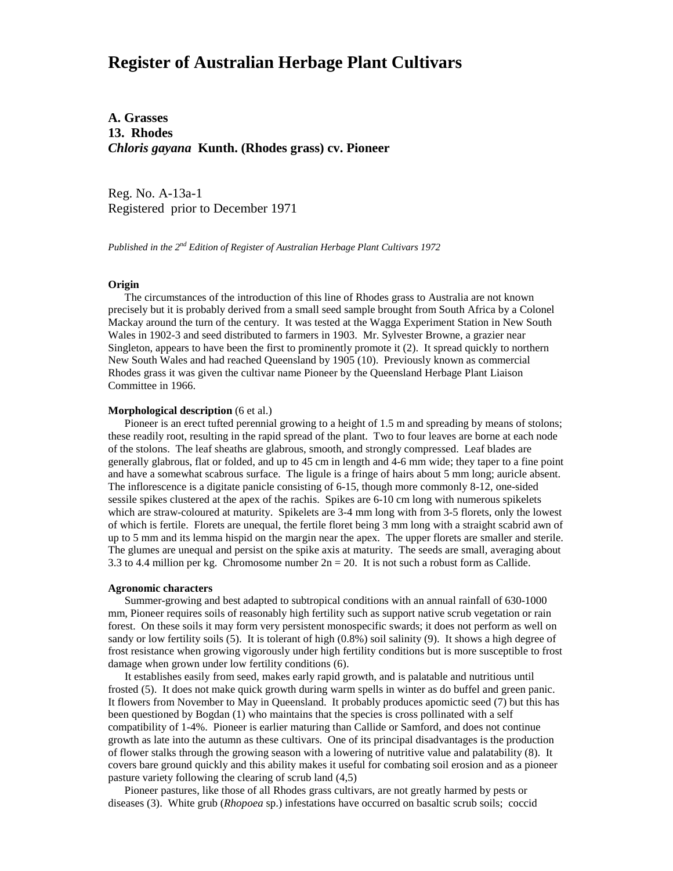# **Register of Australian Herbage Plant Cultivars**

**A. Grasses 13. Rhodes** *Chloris gayana* **Kunth. (Rhodes grass) cv. Pioneer**

Reg. No. A-13a-1 Registered prior to December 1971

*Published in the 2nd Edition of Register of Australian Herbage Plant Cultivars 1972*

## **Origin**

 The circumstances of the introduction of this line of Rhodes grass to Australia are not known precisely but it is probably derived from a small seed sample brought from South Africa by a Colonel Mackay around the turn of the century. It was tested at the Wagga Experiment Station in New South Wales in 1902-3 and seed distributed to farmers in 1903. Mr. Sylvester Browne, a grazier near Singleton, appears to have been the first to prominently promote it (2). It spread quickly to northern New South Wales and had reached Queensland by 1905 (10). Previously known as commercial Rhodes grass it was given the cultivar name Pioneer by the Queensland Herbage Plant Liaison Committee in 1966.

### **Morphological description** (6 et al.)

 Pioneer is an erect tufted perennial growing to a height of 1.5 m and spreading by means of stolons; these readily root, resulting in the rapid spread of the plant. Two to four leaves are borne at each node of the stolons. The leaf sheaths are glabrous, smooth, and strongly compressed. Leaf blades are generally glabrous, flat or folded, and up to 45 cm in length and 4-6 mm wide; they taper to a fine point and have a somewhat scabrous surface. The ligule is a fringe of hairs about 5 mm long; auricle absent. The inflorescence is a digitate panicle consisting of 6-15, though more commonly 8-12, one-sided sessile spikes clustered at the apex of the rachis. Spikes are 6-10 cm long with numerous spikelets which are straw-coloured at maturity. Spikelets are 3-4 mm long with from 3-5 florets, only the lowest of which is fertile. Florets are unequal, the fertile floret being 3 mm long with a straight scabrid awn of up to 5 mm and its lemma hispid on the margin near the apex. The upper florets are smaller and sterile. The glumes are unequal and persist on the spike axis at maturity. The seeds are small, averaging about 3.3 to 4.4 million per kg. Chromosome number 2n = 20. It is not such a robust form as Callide.

#### **Agronomic characters**

 Summer-growing and best adapted to subtropical conditions with an annual rainfall of 630-1000 mm, Pioneer requires soils of reasonably high fertility such as support native scrub vegetation or rain forest. On these soils it may form very persistent monospecific swards; it does not perform as well on sandy or low fertility soils (5). It is tolerant of high (0.8%) soil salinity (9). It shows a high degree of frost resistance when growing vigorously under high fertility conditions but is more susceptible to frost damage when grown under low fertility conditions (6).

 It establishes easily from seed, makes early rapid growth, and is palatable and nutritious until frosted (5). It does not make quick growth during warm spells in winter as do buffel and green panic. It flowers from November to May in Queensland. It probably produces apomictic seed (7) but this has been questioned by Bogdan (1) who maintains that the species is cross pollinated with a self compatibility of 1-4%. Pioneer is earlier maturing than Callide or Samford, and does not continue growth as late into the autumn as these cultivars. One of its principal disadvantages is the production of flower stalks through the growing season with a lowering of nutritive value and palatability (8). It covers bare ground quickly and this ability makes it useful for combating soil erosion and as a pioneer pasture variety following the clearing of scrub land (4,5)

 Pioneer pastures, like those of all Rhodes grass cultivars, are not greatly harmed by pests or diseases (3). White grub (*Rhopoea* sp.) infestations have occurred on basaltic scrub soils; coccid